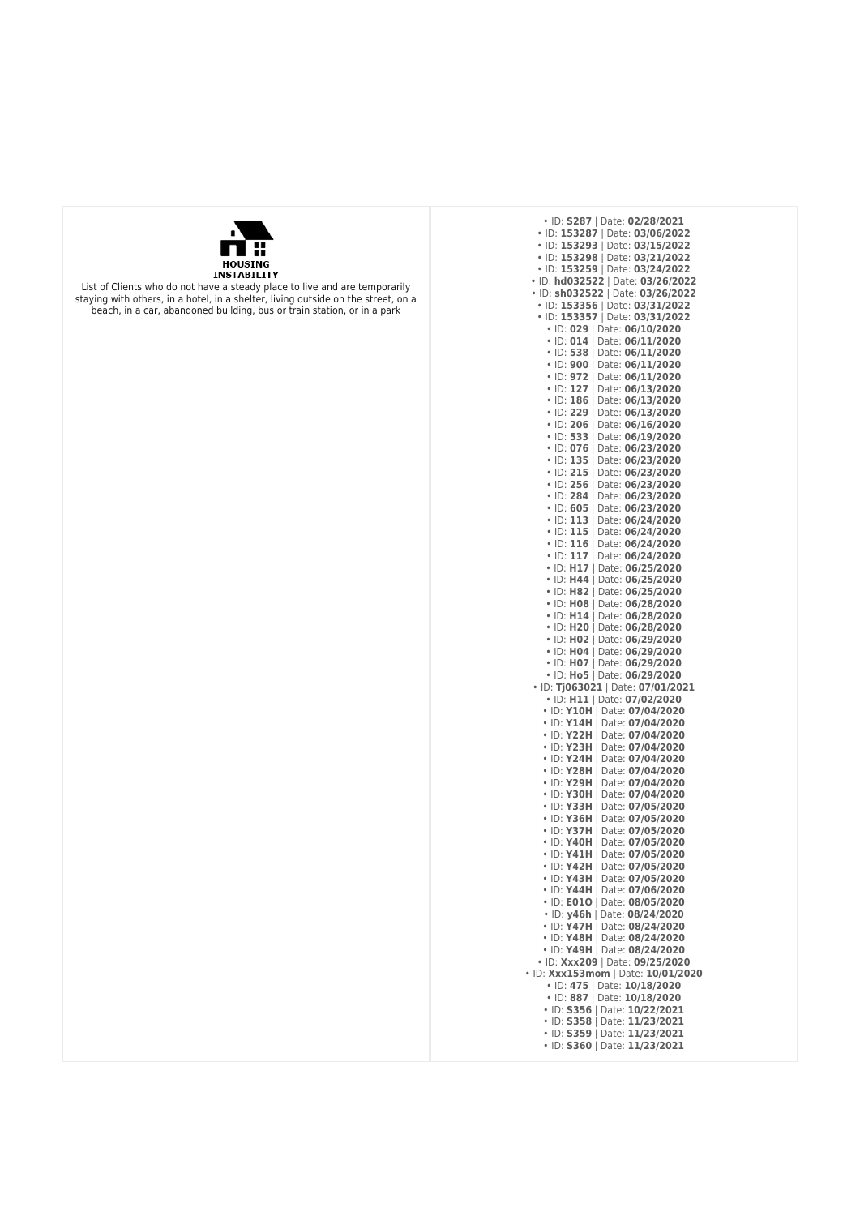

List of Clients who do not have a steady place to live and are temporarily staying with others, in a hotel, in a shelter, living outside on the street, on a beach, in a car, abandoned building, bus or train station, or in a park

| · ID: S287   Date: 02/28/2021 |                                                                    |
|-------------------------------|--------------------------------------------------------------------|
|                               | • ID: 153287   Date: 03/06/2022                                    |
|                               | • ID: 153293   Date: 03/15/2022                                    |
|                               | · ID: 153298   Date: 03/21/2022                                    |
|                               | • ID: 153259   Date: 03/24/2022                                    |
|                               | · ID: hd032522   Date: 03/26/2022                                  |
|                               | · ID: sh032522   Date: 03/26/2022                                  |
|                               | • ID: 153356   Date: 03/31/2022<br>· ID: 153357   Date: 03/31/2022 |
|                               | · ID: 029   Date: 06/10/2020                                       |
|                               | • ID: 014   Date: 06/11/2020                                       |
|                               | · ID: 538   Date: 06/11/2020                                       |
|                               | • ID: 900   Date: 06/11/2020                                       |
|                               | · ID: 972   Date: 06/11/2020                                       |
|                               | • ID: 127   Date: 06/13/2020                                       |
|                               | • ID: 186   Date: 06/13/2020                                       |
|                               | · ID: 229   Date: 06/13/2020                                       |
|                               | · ID: 206   Date: 06/16/2020                                       |
|                               | • ID: 533   Date: 06/19/2020                                       |
|                               | · ID: 076   Date: 06/23/2020                                       |
|                               | · ID: 135   Date: 06/23/2020<br>· ID: 215   Date: 06/23/2020       |
|                               | • ID: 256   Date: 06/23/2020                                       |
|                               | · ID: 284   Date: 06/23/2020                                       |
|                               | · ID: 605   Date: 06/23/2020                                       |
|                               | · ID: 113   Date: 06/24/2020                                       |
|                               | • ID: 115   Date: 06/24/2020                                       |
|                               | • ID: 116   Date: 06/24/2020                                       |
|                               | · ID: 117   Date: 06/24/2020                                       |
|                               | · ID: H17   Date: 06/25/2020                                       |
|                               | • ID: H44   Date: 06/25/2020                                       |
|                               | • ID: H82   Date: 06/25/2020                                       |
|                               | · ID: H08   Date: 06/28/2020                                       |
|                               | · ID: H14   Date: 06/28/2020                                       |
|                               | • ID: H20   Date: 06/28/2020                                       |
|                               | · ID: H02   Date: 06/29/2020<br>• ID: H04   Date: 06/29/2020       |
|                               | · ID: H07   Date: 06/29/2020                                       |
|                               | • ID: Ho5   Date: 06/29/2020                                       |
|                               | ID: Tj063021   Date: 07/01/2021                                    |
|                               | · ID: H11   Date: 07/02/2020                                       |
|                               | • ID: Y10H   Date: 07/04/2020                                      |
|                               | • ID: Y14H   Date: 07/04/2020                                      |
|                               | • ID: Y22H   Date: 07/04/2020                                      |
|                               | • ID: Y23H   Date: 07/04/2020                                      |
|                               | • ID: Y24H   Date: 07/04/2020                                      |
|                               | • ID: Y28H   Date: 07/04/2020                                      |
|                               | • ID: Y29H   Date: 07/04/2020<br>• ID: Y30H   Date: 07/04/2020     |
|                               | • ID: Y33H   Date: 07/05/2020                                      |
|                               | • ID: Y36H   Date: 07/05/2020                                      |
|                               | • ID: Y37H   Date: 07/05/2020                                      |
|                               | • ID: Y40H   Date: 07/05/2020                                      |
|                               | • ID: Y41H   Date: 07/05/2020                                      |
|                               | • ID: Y42H   Date: 07/05/2020                                      |
|                               | • ID: Y43H   Date: 07/05/2020                                      |
|                               | • ID: Y44H   Date: 07/06/2020                                      |
|                               | · ID: E010   Date: 08/05/2020                                      |
|                               | · ID: y46h   Date: 08/24/2020                                      |
|                               | • ID: Y47H   Date: 08/24/2020<br>• ID: Y48H   Date: 08/24/2020     |
|                               | • ID: Y49H   Date: 08/24/2020                                      |
|                               | · ID: Xxx209   Date: 09/25/2020                                    |
|                               | · ID: Xxx153mom   Date: 10/01/2020                                 |
|                               | • ID: 475   Date: 10/18/2020                                       |
|                               | · ID: 887   Date: 10/18/2020                                       |
|                               | · ID: S356   Date: 10/22/2021                                      |
|                               | · ID: S358   Date: 11/23/2021                                      |
|                               | · ID: S359   Date: 11/23/2021                                      |
|                               | · ID: S360   Date: 11/23/2021                                      |